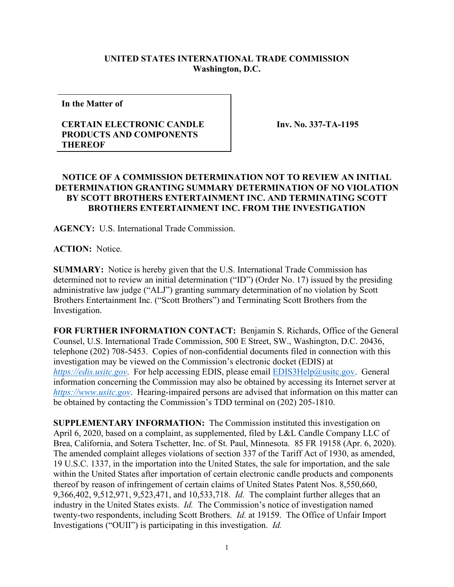## **UNITED STATES INTERNATIONAL TRADE COMMISSION Washington, D.C.**

**In the Matter of**

## **CERTAIN ELECTRONIC CANDLE PRODUCTS AND COMPONENTS THEREOF**

**Inv. No. 337-TA-1195**

## **NOTICE OF A COMMISSION DETERMINATION NOT TO REVIEW AN INITIAL DETERMINATION GRANTING SUMMARY DETERMINATION OF NO VIOLATION BY SCOTT BROTHERS ENTERTAINMENT INC. AND TERMINATING SCOTT BROTHERS ENTERTAINMENT INC. FROM THE INVESTIGATION**

**AGENCY:** U.S. International Trade Commission.

**ACTION:** Notice.

**SUMMARY:** Notice is hereby given that the U.S. International Trade Commission has determined not to review an initial determination ("ID") (Order No. 17) issued by the presiding administrative law judge ("ALJ") granting summary determination of no violation by Scott Brothers Entertainment Inc. ("Scott Brothers") and Terminating Scott Brothers from the Investigation.

**FOR FURTHER INFORMATION CONTACT:** Benjamin S. Richards, Office of the General Counsel, U.S. International Trade Commission, 500 E Street, SW., Washington, D.C. 20436, telephone (202) 708-5453. Copies of non-confidential documents filed in connection with this investigation may be viewed on the Commission's electronic docket (EDIS) at *[https://edis.usitc.gov](https://edis.usitc.gov/)*. For help accessing EDIS, please email [EDIS3Help@usitc.gov.](mailto:EDIS3Help@usitc.gov) General information concerning the Commission may also be obtained by accessing its Internet server at *[https://www.usitc.gov](https://www.usitc.gov/)*. Hearing-impaired persons are advised that information on this matter can be obtained by contacting the Commission's TDD terminal on (202) 205-1810.

**SUPPLEMENTARY INFORMATION:** The Commission instituted this investigation on April 6, 2020, based on a complaint, as supplemented, filed by L&L Candle Company LLC of Brea, California, and Sotera Tschetter, Inc. of St. Paul, Minnesota. 85 FR 19158 (Apr. 6, 2020). The amended complaint alleges violations of section 337 of the Tariff Act of 1930, as amended, 19 U.S.C. 1337, in the importation into the United States, the sale for importation, and the sale within the United States after importation of certain electronic candle products and components thereof by reason of infringement of certain claims of United States Patent Nos. 8,550,660, 9,366,402, 9,512,971, 9,523,471, and 10,533,718. *Id.* The complaint further alleges that an industry in the United States exists. *Id.* The Commission's notice of investigation named twenty-two respondents, including Scott Brothers. *Id.* at 19159. The Office of Unfair Import Investigations ("OUII") is participating in this investigation. *Id.*